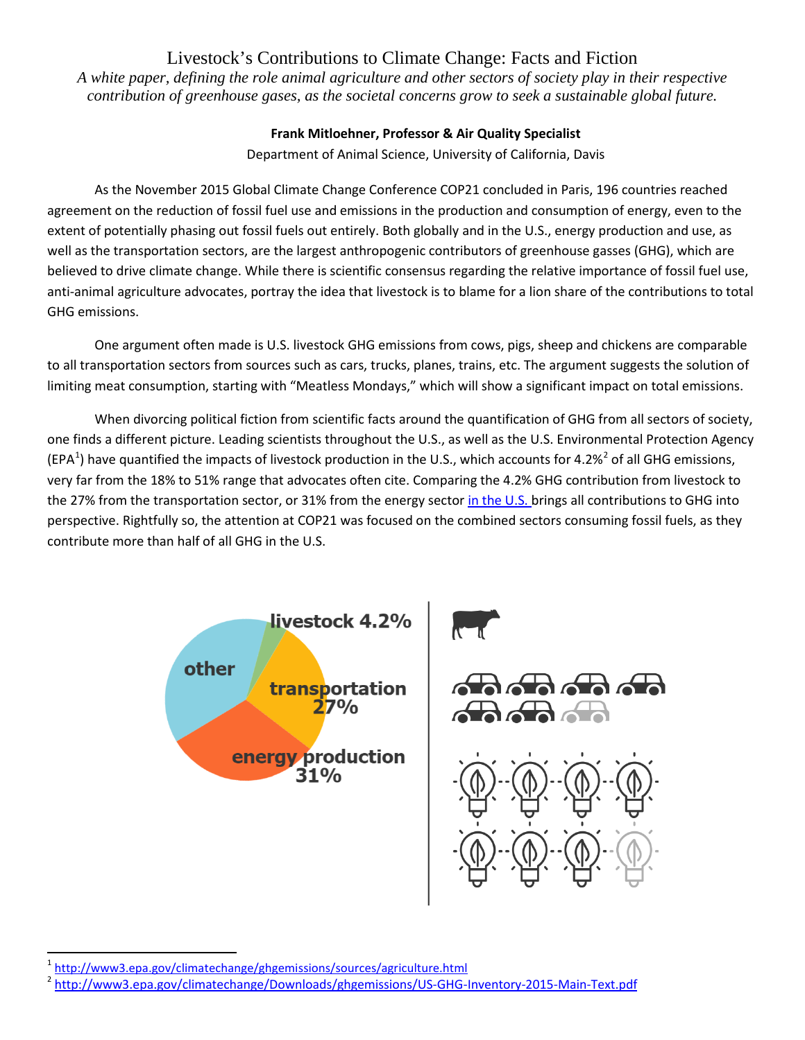# Livestock's Contributions to Climate Change: Facts and Fiction

*A white paper, defining the role animal agriculture and other sectors of society play in their respective contribution of greenhouse gases, as the societal concerns grow to seek a sustainable global future.*

## **Frank Mitloehner, Professor & Air Quality Specialist**

Department of Animal Science, University of California, Davis

As the November 2015 Global Climate Change Conference COP21 concluded in Paris, 196 countries reached agreement on the reduction of fossil fuel use and emissions in the production and consumption of energy, even to the extent of potentially phasing out fossil fuels out entirely. Both globally and in the U.S., energy production and use, as well as the transportation sectors, are the largest anthropogenic contributors of greenhouse gasses (GHG), which are believed to drive climate change. While there is scientific consensus regarding the relative importance of fossil fuel use, anti-animal agriculture advocates, portray the idea that livestock is to blame for a lion share of the contributions to total GHG emissions.

One argument often made is U.S. livestock GHG emissions from cows, pigs, sheep and chickens are comparable to all transportation sectors from sources such as cars, trucks, planes, trains, etc. The argument suggests the solution of limiting meat consumption, starting with "Meatless Mondays," which will show a significant impact on total emissions.

When divorcing political fiction from scientific facts around the quantification of GHG from all sectors of society, one finds a different picture. Leading scientists throughout the U.S., as well as the U.S. Environmental Protection Agency (EPA<sup>[1](#page-0-0)</sup>) have quantified the impacts of livestock production in the U.S., which accounts for 4.[2](#page-0-1)%<sup>2</sup> of all GHG emissions, very far from the 18% to 51% range that advocates often cite. Comparing the 4.2% GHG contribution from livestock to the 27% from the transportation sector, or 31% from the energy sector [in the U.S. b](https://www3.epa.gov/climatechange/ghgemissions/sources/agriculture.html)rings all contributions to GHG into perspective. Rightfully so, the attention at COP21 was focused on the combined sectors consuming fossil fuels, as they contribute more than half of all GHG in the U.S.





l

<span id="page-0-0"></span><sup>1</sup> <http://www3.epa.gov/climatechange/ghgemissions/sources/agriculture.html>

<span id="page-0-1"></span><sup>&</sup>lt;sup>2</sup> <http://www3.epa.gov/climatechange/Downloads/ghgemissions/US-GHG-Inventory-2015-Main-Text.pdf>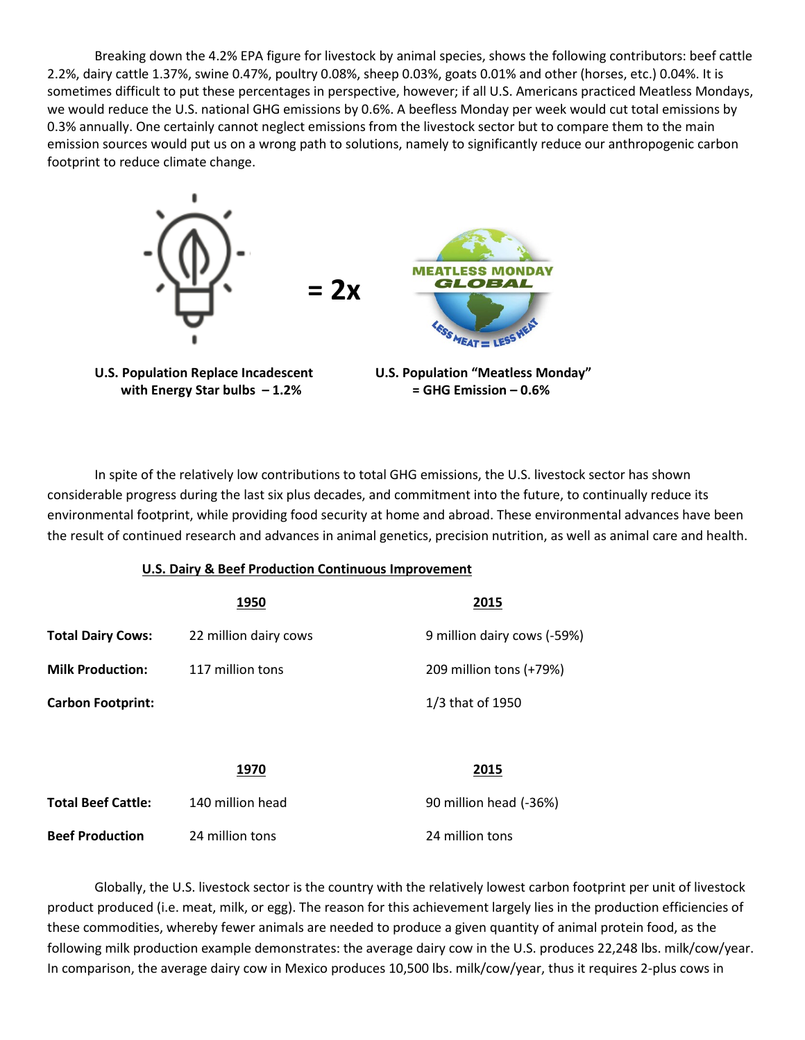Breaking down the 4.2% EPA figure for livestock by animal species, shows the following contributors: beef cattle 2.2%, dairy cattle 1.37%, swine 0.47%, poultry 0.08%, sheep 0.03%, goats 0.01% and other (horses, etc.) 0.04%. It is sometimes difficult to put these percentages in perspective, however; if all U.S. Americans practiced Meatless Mondays, we would reduce the U.S. national GHG emissions by 0.6%. A beefless Monday per week would cut total emissions by 0.3% annually. One certainly cannot neglect emissions from the livestock sector but to compare them to the main emission sources would put us on a wrong path to solutions, namely to significantly reduce our anthropogenic carbon footprint to reduce climate change.



 **with Energy Star bulbs – 1.2% = GHG Emission – 0.6%** 

In spite of the relatively low contributions to total GHG emissions, the U.S. livestock sector has shown considerable progress during the last six plus decades, and commitment into the future, to continually reduce its environmental footprint, while providing food security at home and abroad. These environmental advances have been the result of continued research and advances in animal genetics, precision nutrition, as well as animal care and health.

### **U.S. Dairy & Beef Production Continuous Improvement**

|                           | 1950                  | 2015                        |
|---------------------------|-----------------------|-----------------------------|
| <b>Total Dairy Cows:</b>  | 22 million dairy cows | 9 million dairy cows (-59%) |
| <b>Milk Production:</b>   | 117 million tons      | 209 million tons (+79%)     |
| <b>Carbon Footprint:</b>  |                       | 1/3 that of 1950            |
|                           |                       |                             |
|                           | 1970                  | 2015                        |
| <b>Total Beef Cattle:</b> | 140 million head      | 90 million head (-36%)      |
| <b>Beef Production</b>    | 24 million tons       | 24 million tons             |

Globally, the U.S. livestock sector is the country with the relatively lowest carbon footprint per unit of livestock product produced (i.e. meat, milk, or egg). The reason for this achievement largely lies in the production efficiencies of these commodities, whereby fewer animals are needed to produce a given quantity of animal protein food, as the following milk production example demonstrates: the average dairy cow in the U.S. produces 22,248 lbs. milk/cow/year. In comparison, the average dairy cow in Mexico produces 10,500 lbs. milk/cow/year, thus it requires 2-plus cows in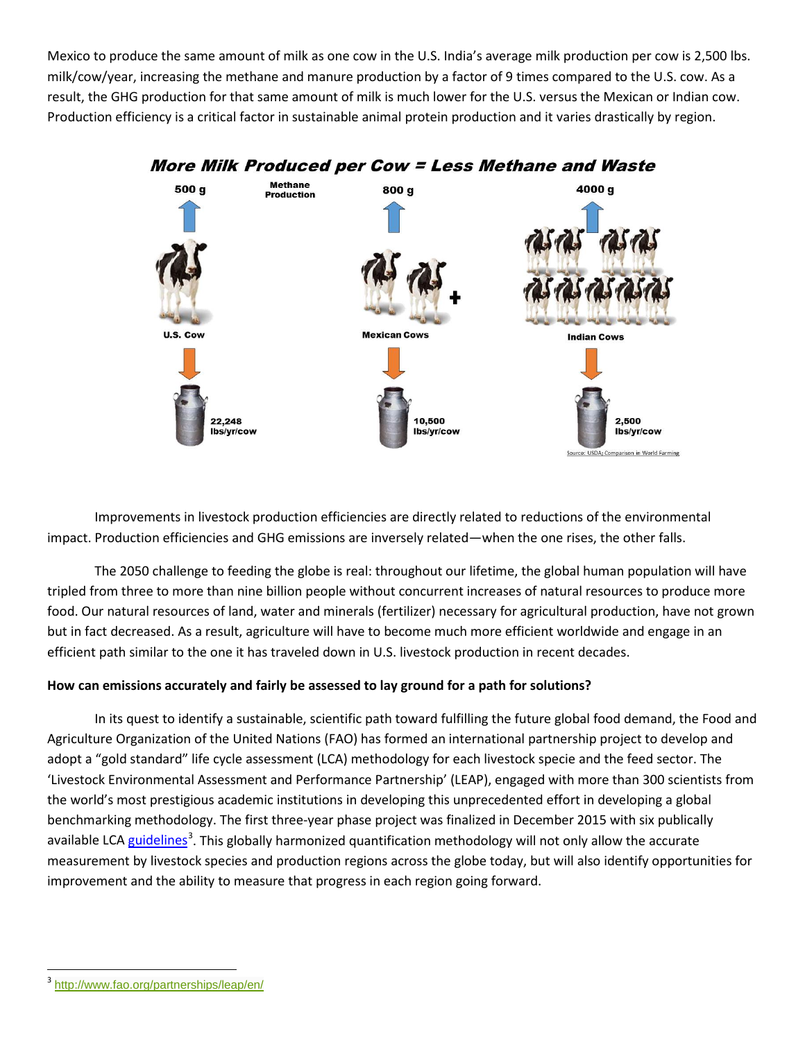Mexico to produce the same amount of milk as one cow in the U.S. India's average milk production per cow is 2,500 lbs. milk/cow/year, increasing the methane and manure production by a factor of 9 times compared to the U.S. cow. As a result, the GHG production for that same amount of milk is much lower for the U.S. versus the Mexican or Indian cow. Production efficiency is a critical factor in sustainable animal protein production and it varies drastically by region.



Improvements in livestock production efficiencies are directly related to reductions of the environmental impact. Production efficiencies and GHG emissions are inversely related—when the one rises, the other falls.

The 2050 challenge to feeding the globe is real: throughout our lifetime, the global human population will have tripled from three to more than nine billion people without concurrent increases of natural resources to produce more food. Our natural resources of land, water and minerals (fertilizer) necessary for agricultural production, have not grown but in fact decreased. As a result, agriculture will have to become much more efficient worldwide and engage in an efficient path similar to the one it has traveled down in U.S. livestock production in recent decades.

## **How can emissions accurately and fairly be assessed to lay ground for a path for solutions?**

In its quest to identify a sustainable, scientific path toward fulfilling the future global food demand, the Food and Agriculture Organization of the United Nations (FAO) has formed an international partnership project to develop and adopt a "gold standard" life cycle assessment (LCA) methodology for each livestock specie and the feed sector. The 'Livestock Environmental Assessment and Performance Partnership' (LEAP), engaged with more than 300 scientists from the world's most prestigious academic institutions in developing this unprecedented effort in developing a global benchmarking methodology. The first three-year phase project was finalized in December 2015 with six publically available LC[A guidelines](http://www.fao.org/partnerships/leap/en/)<sup>[3](#page-2-0)</sup>. This globally harmonized quantification methodology will not only allow the accurate measurement by livestock species and production regions across the globe today, but will also identify opportunities for improvement and the ability to measure that progress in each region going forward.

l

<span id="page-2-0"></span><sup>3</sup> <http://www.fao.org/partnerships/leap/en/>